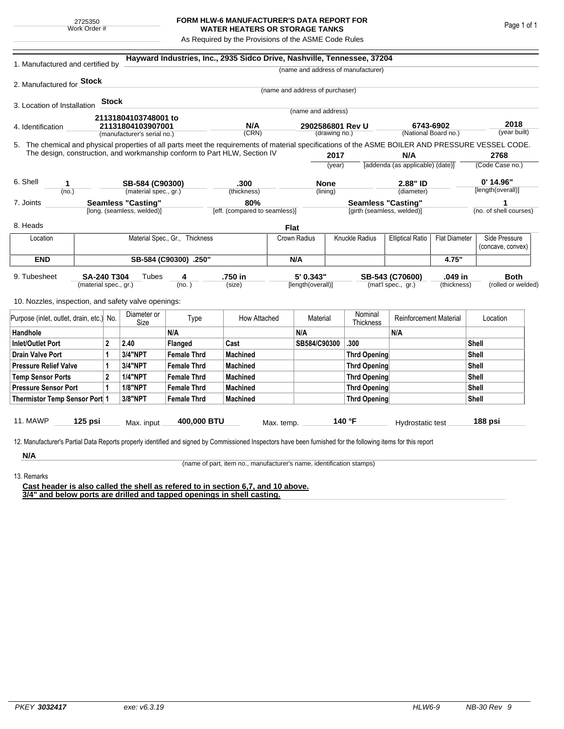## **FORM HLW-6 MANUFACTURER'S DATA REPORT FOR WATER HEATERS OR STORAGE TANKS**

As Required by the Provisions of the ASME Code Rules

| 1. Manufactured and certified by                                                                                                                                                                                                                                                   |                                |              |                             | Hayward Industries, Inc., 2935 Sidco Drive, Nashville, Tennessee, 37204 |                 |             |                                   |                                                         |                                    |                                  |                      |                                    |                      |  |
|------------------------------------------------------------------------------------------------------------------------------------------------------------------------------------------------------------------------------------------------------------------------------------|--------------------------------|--------------|-----------------------------|-------------------------------------------------------------------------|-----------------|-------------|-----------------------------------|---------------------------------------------------------|------------------------------------|----------------------------------|----------------------|------------------------------------|----------------------|--|
|                                                                                                                                                                                                                                                                                    |                                |              |                             |                                                                         |                 |             |                                   |                                                         | (name and address of manufacturer) |                                  |                      |                                    |                      |  |
| 2. Manufactured for Stock                                                                                                                                                                                                                                                          |                                |              |                             |                                                                         |                 |             |                                   |                                                         |                                    |                                  |                      |                                    |                      |  |
|                                                                                                                                                                                                                                                                                    |                                |              |                             |                                                                         |                 |             | (name and address of purchaser)   |                                                         |                                    |                                  |                      |                                    |                      |  |
| 3. Location of Installation                                                                                                                                                                                                                                                        |                                | <b>Stock</b> |                             |                                                                         |                 |             | (name and address)                |                                                         |                                    |                                  |                      |                                    |                      |  |
|                                                                                                                                                                                                                                                                                    |                                |              | 21131804103748001 to        |                                                                         |                 |             |                                   |                                                         |                                    |                                  |                      |                                    |                      |  |
| 4. Identification                                                                                                                                                                                                                                                                  |                                |              | 21131804103907001           |                                                                         | N/A<br>(CRN)    |             | 2902586801 Rev U<br>(drawing no.) |                                                         | 6743-6902                          |                                  | (National Board no.) |                                    | 2018<br>(year built) |  |
|                                                                                                                                                                                                                                                                                    |                                |              | (manufacturer's serial no.) |                                                                         |                 |             |                                   |                                                         |                                    |                                  |                      |                                    |                      |  |
| 5. The chemical and physical properties of all parts meet the requirements of material specifications of the ASME BOILER AND PRESSURE VESSEL CODE.<br>The design, construction, and workmanship conform to Part HLW, Section IV                                                    |                                |              |                             |                                                                         |                 |             |                                   | 2017                                                    |                                    | N/A                              |                      |                                    | 2768                 |  |
|                                                                                                                                                                                                                                                                                    |                                |              |                             |                                                                         |                 |             | (year)                            |                                                         |                                    | [addenda (as applicable) (date)] |                      |                                    | (Code Case no.)      |  |
|                                                                                                                                                                                                                                                                                    |                                |              |                             |                                                                         |                 |             |                                   |                                                         |                                    |                                  |                      |                                    |                      |  |
| 6. Shell<br>1                                                                                                                                                                                                                                                                      |                                |              | SB-584 (C90300)             |                                                                         | .300            |             | <b>None</b>                       |                                                         | 2.88" ID                           |                                  | $0'$ 14.96"          |                                    |                      |  |
|                                                                                                                                                                                                                                                                                    | (no.)                          |              |                             | (material spec., gr.)                                                   | (thickness)     | (lining)    |                                   |                                                         | (diameter)                         |                                  |                      |                                    | [length(overall)]    |  |
| <b>Seamless "Casting"</b><br>7. Joints<br>[long. (seamless, welded)]                                                                                                                                                                                                               |                                |              |                             | 80%<br>[eff. (compared to seamless)]                                    |                 |             |                                   | <b>Seamless "Casting"</b><br>[girth (seamless, welded)] |                                    |                                  |                      | 1<br>(no. of shell courses)        |                      |  |
|                                                                                                                                                                                                                                                                                    |                                |              |                             |                                                                         |                 |             |                                   |                                                         |                                    |                                  |                      |                                    |                      |  |
| 8. Heads                                                                                                                                                                                                                                                                           |                                |              |                             |                                                                         |                 | <b>Flat</b> |                                   |                                                         |                                    |                                  |                      |                                    |                      |  |
| Location                                                                                                                                                                                                                                                                           | Material Spec., Gr., Thickness |              |                             |                                                                         |                 |             | Knuckle Radius<br>Crown Radius    |                                                         | <b>Elliptical Ratio</b>            | <b>Flat Diameter</b>             |                      | Side Pressure<br>(concave, convex) |                      |  |
| <b>END</b>                                                                                                                                                                                                                                                                         |                                |              |                             | SB-584 (C90300) .250"                                                   |                 |             |                                   | N/A                                                     |                                    |                                  | 4.75"                |                                    |                      |  |
| 5' 0.343"<br>.750 in<br>.049 in<br><b>Both</b><br>9. Tubesheet<br><b>SA-240 T304</b><br>Tubes<br>SB-543 (C70600)<br>4<br>(mat'l spec., gr.)<br>(material spec., gr.)<br>(no.)<br>(size)<br>[length(overall)]<br>(thickness)<br>10. Nozzles, inspection, and safety valve openings: |                                |              |                             |                                                                         |                 |             |                                   |                                                         | (rolled or welded)                 |                                  |                      |                                    |                      |  |
| Purpose (inlet, outlet, drain, etc.) No.                                                                                                                                                                                                                                           |                                |              | Diameter or<br>Size         | Type                                                                    | How Attached    |             | Material                          |                                                         | Nominal<br>Thickness               | <b>Reinforcement Material</b>    |                      |                                    | Location             |  |
| Handhole                                                                                                                                                                                                                                                                           |                                |              |                             | N/A                                                                     |                 |             | N/A                               |                                                         |                                    | N/A                              |                      |                                    |                      |  |
| 2<br>Inlet/Outlet Port                                                                                                                                                                                                                                                             |                                |              | 2.40                        | Flanged                                                                 | Cast            |             | SB584/C90300                      |                                                         | .300                               |                                  |                      | Shell                              |                      |  |
| Drain Valve Port<br>1                                                                                                                                                                                                                                                              |                                |              | 3/4"NPT                     | <b>Female Thrd</b>                                                      | <b>Machined</b> |             |                                   |                                                         | Thrd Opening                       |                                  |                      |                                    | Shell                |  |
| <b>Pressure Relief Valve</b><br>1                                                                                                                                                                                                                                                  |                                |              | 3/4"NPT                     | <b>Female Thrd</b>                                                      | <b>Machined</b> |             |                                   |                                                         | Thrd Opening                       |                                  | Shell                |                                    |                      |  |
| $\overline{2}$<br><b>Temp Sensor Ports</b>                                                                                                                                                                                                                                         |                                |              | <b>1/4"NPT</b>              | <b>Female Thrd</b>                                                      | <b>Machined</b> |             |                                   |                                                         | Thrd Opening                       |                                  |                      | Shell                              |                      |  |
| <b>Pressure Sensor Port</b><br>1                                                                                                                                                                                                                                                   |                                |              | <b>1/8"NPT</b>              | <b>Female Thrd</b>                                                      | <b>Machined</b> |             |                                   |                                                         | Thrd Opening                       |                                  |                      | Shell                              |                      |  |
| Thermistor Temp Sensor Port 1                                                                                                                                                                                                                                                      |                                |              | 3/8"NPT                     | <b>Female Thrd</b>                                                      | <b>Machined</b> |             |                                   |                                                         | Thrd Opening                       |                                  |                      | Shell                              |                      |  |
| 11. MAWP<br>12. Manufacturer's Partial Data Reports properly identified and signed by Commissioned Inspectors have been furnished for the following items for this report                                                                                                          | $125$ psi                      |              | Max. input                  | 400,000 BTU                                                             |                 | Max. temp.  |                                   |                                                         | 140 °F                             | Hydrostatic test                 |                      |                                    | 188 psi              |  |
| N/A                                                                                                                                                                                                                                                                                |                                |              |                             |                                                                         |                 |             |                                   |                                                         |                                    |                                  |                      |                                    |                      |  |

(name of part, item no., manufacturer's name, identification stamps)

13. Remarks

**Cast header is also called the shell as refered to in section 6,7, and 10 above. 3/4" and below ports are drilled and tapped openings in shell casting.**